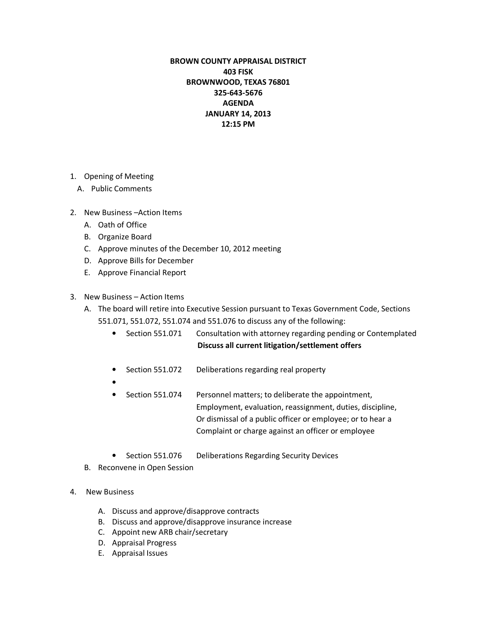## BROWN COUNTY APPRAISAL DISTRICT 403 FISK BROWNWOOD, TEXAS 76801 325-643-5676 AGENDA JANUARY 14, 2013 12:15 PM

## 1. Opening of Meeting

- A. Public Comments
- 2. New Business –Action Items
	- A. Oath of Office
	- B. Organize Board
	- C. Approve minutes of the December 10, 2012 meeting
	- D. Approve Bills for December
	- E. Approve Financial Report
- 3. New Business Action Items
	- A. The board will retire into Executive Session pursuant to Texas Government Code, Sections 551.071, 551.072, 551.074 and 551.076 to discuss any of the following:
		- Section 551.071 Consultation with attorney regarding pending or Contemplated Discuss all current litigation/settlement offers
		- Section 551.072 Deliberations regarding real property
		- •
		- Section 551.074 Personnel matters; to deliberate the appointment, Employment, evaluation, reassignment, duties, discipline, Or dismissal of a public officer or employee; or to hear a Complaint or charge against an officer or employee
		- Section 551.076 Deliberations Regarding Security Devices
	- B. Reconvene in Open Session
- 4. New Business
	- A. Discuss and approve/disapprove contracts
	- B. Discuss and approve/disapprove insurance increase
	- C. Appoint new ARB chair/secretary
	- D. Appraisal Progress
	- E. Appraisal Issues